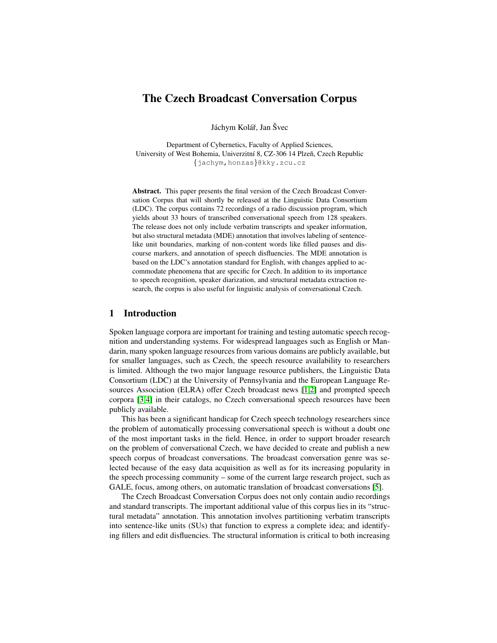# The Czech Broadcast Conversation Corpus

Jáchym Kolář, Jan Švec

Department of Cybernetics, Faculty of Applied Sciences, University of West Bohemia, Univerzitní 8, CZ-306 14 Plzeň, Czech Republic {jachym,honzas}@kky.zcu.cz

Abstract. This paper presents the final version of the Czech Broadcast Conversation Corpus that will shortly be released at the Linguistic Data Consortium (LDC). The corpus contains 72 recordings of a radio discussion program, which yields about 33 hours of transcribed conversational speech from 128 speakers. The release does not only include verbatim transcripts and speaker information, but also structural metadata (MDE) annotation that involves labeling of sentencelike unit boundaries, marking of non-content words like filled pauses and discourse markers, and annotation of speech disfluencies. The MDE annotation is based on the LDC's annotation standard for English, with changes applied to accommodate phenomena that are specific for Czech. In addition to its importance to speech recognition, speaker diarization, and structural metadata extraction research, the corpus is also useful for linguistic analysis of conversational Czech.

# 1 Introduction

Spoken language corpora are important for training and testing automatic speech recognition and understanding systems. For widespread languages such as English or Mandarin, many spoken language resources from various domains are publicly available, but for smaller languages, such as Czech, the speech resource availability to researchers is limited. Although the two major language resource publishers, the Linguistic Data Consortium (LDC) at the University of Pennsylvania and the European Language Resources Association (ELRA) offer Czech broadcast news [\[1,](#page-7-0)[2\]](#page-7-1) and prompted speech corpora [\[3,](#page-7-2)[4\]](#page-7-3) in their catalogs, no Czech conversational speech resources have been publicly available.

This has been a significant handicap for Czech speech technology researchers since the problem of automatically processing conversational speech is without a doubt one of the most important tasks in the field. Hence, in order to support broader research on the problem of conversational Czech, we have decided to create and publish a new speech corpus of broadcast conversations. The broadcast conversation genre was selected because of the easy data acquisition as well as for its increasing popularity in the speech processing community – some of the current large research project, such as GALE, focus, among others, on automatic translation of broadcast conversations [\[5\]](#page-7-4).

The Czech Broadcast Conversation Corpus does not only contain audio recordings and standard transcripts. The important additional value of this corpus lies in its "structural metadata" annotation. This annotation involves partitioning verbatim transcripts into sentence-like units (SUs) that function to express a complete idea; and identifying fillers and edit disfluencies. The structural information is critical to both increasing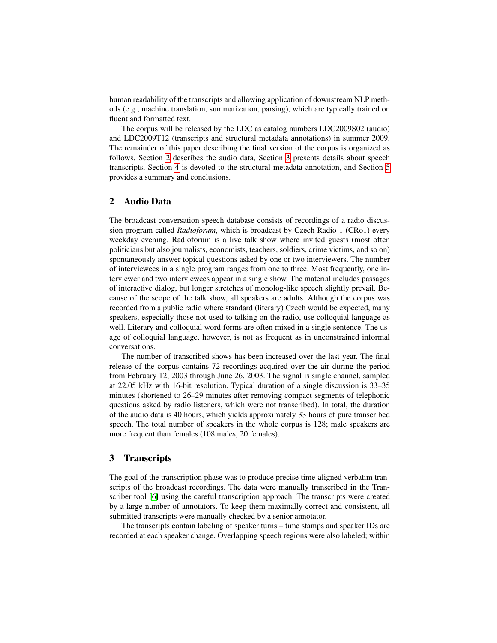human readability of the transcripts and allowing application of downstream NLP methods (e.g., machine translation, summarization, parsing), which are typically trained on fluent and formatted text.

The corpus will be released by the LDC as catalog numbers LDC2009S02 (audio) and LDC2009T12 (transcripts and structural metadata annotations) in summer 2009. The remainder of this paper describing the final version of the corpus is organized as follows. Section [2](#page-1-0) describes the audio data, Section [3](#page-1-1) presents details about speech transcripts, Section [4](#page-2-0) is devoted to the structural metadata annotation, and Section [5](#page-6-0) provides a summary and conclusions.

# <span id="page-1-0"></span>2 Audio Data

The broadcast conversation speech database consists of recordings of a radio discussion program called *Radioforum*, which is broadcast by Czech Radio 1 (CRo1) every weekday evening. Radioforum is a live talk show where invited guests (most often politicians but also journalists, economists, teachers, soldiers, crime victims, and so on) spontaneously answer topical questions asked by one or two interviewers. The number of interviewees in a single program ranges from one to three. Most frequently, one interviewer and two interviewees appear in a single show. The material includes passages of interactive dialog, but longer stretches of monolog-like speech slightly prevail. Because of the scope of the talk show, all speakers are adults. Although the corpus was recorded from a public radio where standard (literary) Czech would be expected, many speakers, especially those not used to talking on the radio, use colloquial language as well. Literary and colloquial word forms are often mixed in a single sentence. The usage of colloquial language, however, is not as frequent as in unconstrained informal conversations.

The number of transcribed shows has been increased over the last year. The final release of the corpus contains 72 recordings acquired over the air during the period from February 12, 2003 through June 26, 2003. The signal is single channel, sampled at 22.05 kHz with 16-bit resolution. Typical duration of a single discussion is 33–35 minutes (shortened to 26–29 minutes after removing compact segments of telephonic questions asked by radio listeners, which were not transcribed). In total, the duration of the audio data is 40 hours, which yields approximately 33 hours of pure transcribed speech. The total number of speakers in the whole corpus is 128; male speakers are more frequent than females (108 males, 20 females).

### <span id="page-1-1"></span>3 Transcripts

The goal of the transcription phase was to produce precise time-aligned verbatim transcripts of the broadcast recordings. The data were manually transcribed in the Transcriber tool [\[6\]](#page-7-5) using the careful transcription approach. The transcripts were created by a large number of annotators. To keep them maximally correct and consistent, all submitted transcripts were manually checked by a senior annotator.

The transcripts contain labeling of speaker turns – time stamps and speaker IDs are recorded at each speaker change. Overlapping speech regions were also labeled; within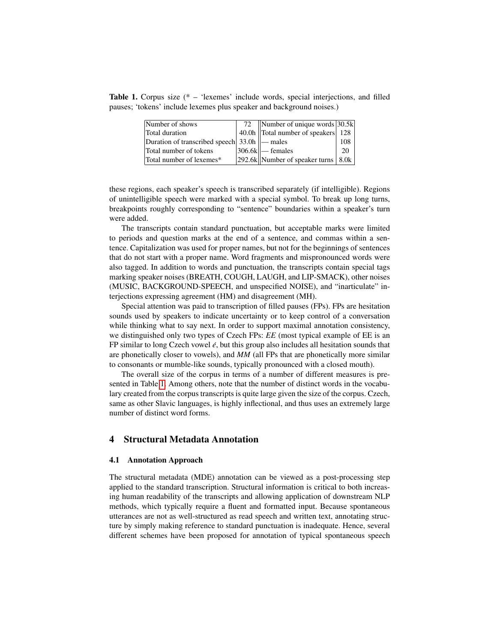**Table 1.** Corpus size  $(* - 'lexemes'$  include words, special interjections, and filled pauses; 'tokens' include lexemes plus speaker and background noises.)

<span id="page-2-1"></span>

| Number of shows                                | 72   Number of unique words 30.5k           |     |
|------------------------------------------------|---------------------------------------------|-----|
| Total duration                                 | 40.0h Total number of speakers 128          |     |
| Duration of transcribed speech 33.0h   — males |                                             | 108 |
| Total number of tokens                         | $ 306.6k $ females                          | 20  |
| Total number of lexemes*                       | $ 292.6k $ Number of speaker turns $ 8.0k $ |     |

these regions, each speaker's speech is transcribed separately (if intelligible). Regions of unintelligible speech were marked with a special symbol. To break up long turns, breakpoints roughly corresponding to "sentence" boundaries within a speaker's turn were added.

The transcripts contain standard punctuation, but acceptable marks were limited to periods and question marks at the end of a sentence, and commas within a sentence. Capitalization was used for proper names, but not for the beginnings of sentences that do not start with a proper name. Word fragments and mispronounced words were also tagged. In addition to words and punctuation, the transcripts contain special tags marking speaker noises (BREATH, COUGH, LAUGH, and LIP-SMACK), other noises (MUSIC, BACKGROUND-SPEECH, and unspecified NOISE), and "inarticulate" interjections expressing agreement (HM) and disagreement (MH).

Special attention was paid to transcription of filled pauses (FPs). FPs are hesitation sounds used by speakers to indicate uncertainty or to keep control of a conversation while thinking what to say next. In order to support maximal annotation consistency, we distinguished only two types of Czech FPs: *EE* (most typical example of EE is an FP similar to long Czech vowel *e´*, but this group also includes all hesitation sounds that are phonetically closer to vowels), and *MM* (all FPs that are phonetically more similar to consonants or mumble-like sounds, typically pronounced with a closed mouth).

The overall size of the corpus in terms of a number of different measures is presented in Table [1.](#page-2-1) Among others, note that the number of distinct words in the vocabulary created from the corpus transcripts is quite large given the size of the corpus. Czech, same as other Slavic languages, is highly inflectional, and thus uses an extremely large number of distinct word forms.

# <span id="page-2-0"></span>4 Structural Metadata Annotation

#### 4.1 Annotation Approach

The structural metadata (MDE) annotation can be viewed as a post-processing step applied to the standard transcription. Structural information is critical to both increasing human readability of the transcripts and allowing application of downstream NLP methods, which typically require a fluent and formatted input. Because spontaneous utterances are not as well-structured as read speech and written text, annotating structure by simply making reference to standard punctuation is inadequate. Hence, several different schemes have been proposed for annotation of typical spontaneous speech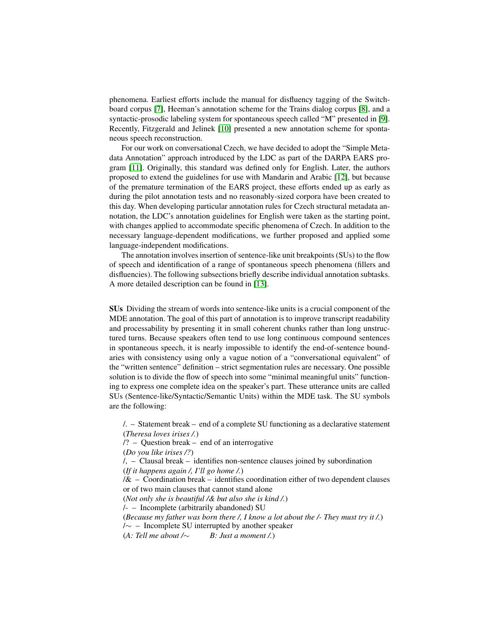phenomena. Earliest efforts include the manual for disfluency tagging of the Switchboard corpus [\[7\]](#page-7-6), Heeman's annotation scheme for the Trains dialog corpus [\[8\]](#page-7-7), and a syntactic-prosodic labeling system for spontaneous speech called "M" presented in [\[9\]](#page-7-8). Recently, Fitzgerald and Jelinek [\[10\]](#page-7-9) presented a new annotation scheme for spontaneous speech reconstruction.

For our work on conversational Czech, we have decided to adopt the "Simple Metadata Annotation" approach introduced by the LDC as part of the DARPA EARS program [\[11\]](#page-7-10). Originally, this standard was defined only for English. Later, the authors proposed to extend the guidelines for use with Mandarin and Arabic [\[12\]](#page-8-0), but because of the premature termination of the EARS project, these efforts ended up as early as during the pilot annotation tests and no reasonably-sized corpora have been created to this day. When developing particular annotation rules for Czech structural metadata annotation, the LDC's annotation guidelines for English were taken as the starting point, with changes applied to accommodate specific phenomena of Czech. In addition to the necessary language-dependent modifications, we further proposed and applied some language-independent modifications.

The annotation involves insertion of sentence-like unit breakpoints (SUs) to the flow of speech and identification of a range of spontaneous speech phenomena (fillers and disfluencies). The following subsections briefly describe individual annotation subtasks. A more detailed description can be found in [\[13\]](#page-8-1).

SUs Dividing the stream of words into sentence-like units is a crucial component of the MDE annotation. The goal of this part of annotation is to improve transcript readability and processability by presenting it in small coherent chunks rather than long unstructured turns. Because speakers often tend to use long continuous compound sentences in spontaneous speech, it is nearly impossible to identify the end-of-sentence boundaries with consistency using only a vague notion of a "conversational equivalent" of the "written sentence" definition – strict segmentation rules are necessary. One possible solution is to divide the flow of speech into some "minimal meaningful units" functioning to express one complete idea on the speaker's part. These utterance units are called SUs (Sentence-like/Syntactic/Semantic Units) within the MDE task. The SU symbols are the following:

 $/? -$  Question break – end of an interrogative

(*Do you like irises /?*)

/, – Clausal break – identifies non-sentence clauses joined by subordination

(*If it happens again /, I'll go home /.*)

 $\sqrt{\mathcal{k}}$  – Coordination break – identifies coordination either of two dependent clauses or of two main clauses that cannot stand alone

(*Not only she is beautiful /& but also she is kind /.*)

/- – Incomplete (arbitrarily abandoned) SU

(*Because my father was born there /, I know a lot about the /- They must try it /.*)

/∼ – Incomplete SU interrupted by another speaker

(*A: Tell me about /*∼ *B: Just a moment /.*)

<sup>/. –</sup> Statement break – end of a complete SU functioning as a declarative statement (*Theresa loves irises /.*)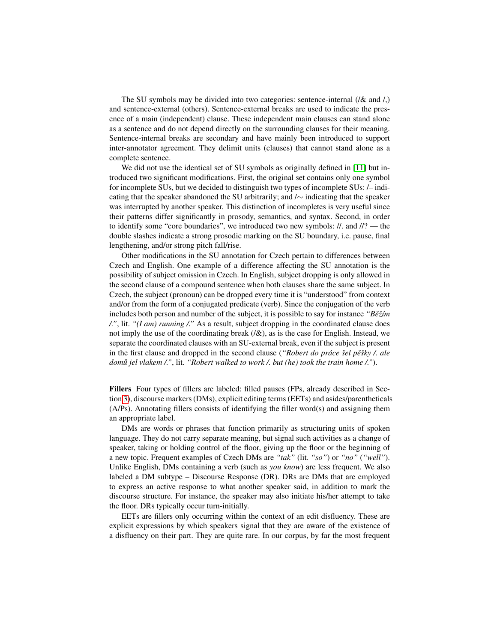The SU symbols may be divided into two categories: sentence-internal  $(\mathcal{K}$  and  $\mathcal{L})$ , and sentence-external (others). Sentence-external breaks are used to indicate the presence of a main (independent) clause. These independent main clauses can stand alone as a sentence and do not depend directly on the surrounding clauses for their meaning. Sentence-internal breaks are secondary and have mainly been introduced to support inter-annotator agreement. They delimit units (clauses) that cannot stand alone as a complete sentence.

We did not use the identical set of SU symbols as originally defined in [\[11\]](#page-7-10) but introduced two significant modifications. First, the original set contains only one symbol for incomplete SUs, but we decided to distinguish two types of incomplete SUs: /– indicating that the speaker abandoned the SU arbitrarily; and /∼ indicating that the speaker was interrupted by another speaker. This distinction of incompletes is very useful since their patterns differ significantly in prosody, semantics, and syntax. Second, in order to identify some "core boundaries", we introduced two new symbols: //. and //? — the double slashes indicate a strong prosodic marking on the SU boundary, i.e. pause, final lengthening, and/or strong pitch fall/rise.

Other modifications in the SU annotation for Czech pertain to differences between Czech and English. One example of a difference affecting the SU annotation is the possibility of subject omission in Czech. In English, subject dropping is only allowed in the second clause of a compound sentence when both clauses share the same subject. In Czech, the subject (pronoun) can be dropped every time it is "understood" from context and/or from the form of a conjugated predicate (verb). Since the conjugation of the verb includes both person and number of the subject, it is possible to say for instance *"Běžím /."*, lit. *"(I am) running /."* As a result, subject dropping in the coordinated clause does not imply the use of the coordinating break  $(\sqrt{\alpha})$ , as is the case for English. Instead, we separate the coordinated clauses with an SU-external break, even if the subject is present in the first clause and dropped in the second clause ("Robert do práce šel pěšky /. ale *domů jel vlakem /."*, lit. "Robert walked to work /. but (he) took the train home /.").

Fillers Four types of fillers are labeled: filled pauses (FPs, already described in Section [3\)](#page-1-1), discourse markers (DMs), explicit editing terms (EETs) and asides/parentheticals (A/Ps). Annotating fillers consists of identifying the filler word(s) and assigning them an appropriate label.

DMs are words or phrases that function primarily as structuring units of spoken language. They do not carry separate meaning, but signal such activities as a change of speaker, taking or holding control of the floor, giving up the floor or the beginning of a new topic. Frequent examples of Czech DMs are *"tak"* (lit. *"so"*) or *"no"* (*"well"*). Unlike English, DMs containing a verb (such as *you know*) are less frequent. We also labeled a DM subtype – Discourse Response (DR). DRs are DMs that are employed to express an active response to what another speaker said, in addition to mark the discourse structure. For instance, the speaker may also initiate his/her attempt to take the floor. DRs typically occur turn-initially.

EETs are fillers only occurring within the context of an edit disfluency. These are explicit expressions by which speakers signal that they are aware of the existence of a disfluency on their part. They are quite rare. In our corpus, by far the most frequent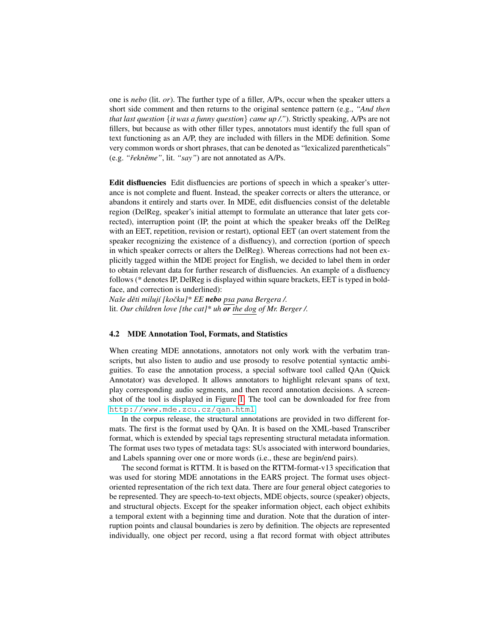one is *nebo* (lit. *or*). The further type of a filler, A/Ps, occur when the speaker utters a short side comment and then returns to the original sentence pattern (e.g., *"And then that last question* {*it was a funny question*} *came up /."*). Strictly speaking, A/Ps are not fillers, but because as with other filler types, annotators must identify the full span of text functioning as an A/P, they are included with fillers in the MDE definition. Some very common words or short phrases, that can be denoted as "lexicalized parentheticals" (e.g. *"rekn ˇ eme" ˇ* , lit. *"say"*) are not annotated as A/Ps.

Edit disfluencies Edit disfluencies are portions of speech in which a speaker's utterance is not complete and fluent. Instead, the speaker corrects or alters the utterance, or abandons it entirely and starts over. In MDE, edit disfluencies consist of the deletable region (DelReg, speaker's initial attempt to formulate an utterance that later gets corrected), interruption point (IP, the point at which the speaker breaks off the DelReg with an EET, repetition, revision or restart), optional EET (an overt statement from the speaker recognizing the existence of a disfluency), and correction (portion of speech in which speaker corrects or alters the DelReg). Whereas corrections had not been explicitly tagged within the MDE project for English, we decided to label them in order to obtain relevant data for further research of disfluencies. An example of a disfluency follows (\* denotes IP, DelReg is displayed within square brackets, EET is typed in boldface, and correction is underlined):

*Nase d ˇ eti miluj ˇ ´ı [kocku]\* EE ˇ nebo psa pana Bergera /.* lit. *Our children love [the cat]\* uh or the dog of Mr. Berger /.*

#### 4.2 MDE Annotation Tool, Formats, and Statistics

When creating MDE annotations, annotators not only work with the verbatim transcripts, but also listen to audio and use prosody to resolve potential syntactic ambiguities. To ease the annotation process, a special software tool called QAn (Quick Annotator) was developed. It allows annotators to highlight relevant spans of text, play corresponding audio segments, and then record annotation decisions. A screenshot of the tool is displayed in Figure [1.](#page-6-1) The tool can be downloaded for free from <http://www.mde.zcu.cz/qan.html>.

In the corpus release, the structural annotations are provided in two different formats. The first is the format used by QAn. It is based on the XML-based Transcriber format, which is extended by special tags representing structural metadata information. The format uses two types of metadata tags: SUs associated with interword boundaries, and Labels spanning over one or more words (i.e., these are begin/end pairs).

The second format is RTTM. It is based on the RTTM-format-v13 specification that was used for storing MDE annotations in the EARS project. The format uses objectoriented representation of the rich text data. There are four general object categories to be represented. They are speech-to-text objects, MDE objects, source (speaker) objects, and structural objects. Except for the speaker information object, each object exhibits a temporal extent with a beginning time and duration. Note that the duration of interruption points and clausal boundaries is zero by definition. The objects are represented individually, one object per record, using a flat record format with object attributes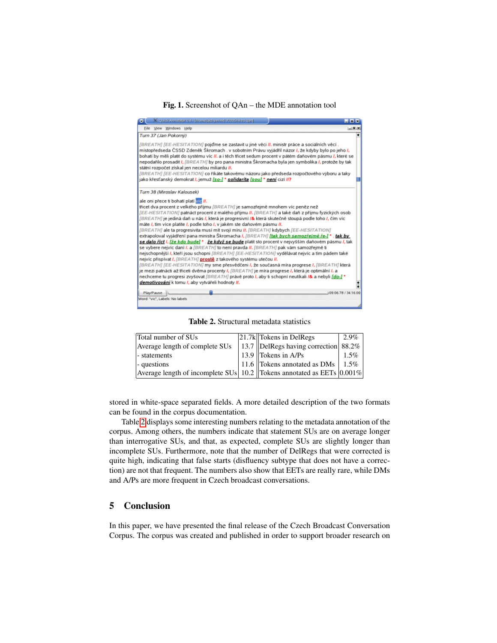#### <span id="page-6-1"></span>Fig. 1. Screenshot of QAn – the MDE annotation tool

| Eile View Windows Help<br>Turn 37 (Jan Pokorný)<br>, BREATHI [EE-HESITATION] poidme se zastavit u jiné věci <i>II</i> . ministr práce a sociálních věcí<br>místopředseda ČSSD Zdeněk Škromach , v sobotním Právu vyjádřil názor /, že kdyby bylo po jeho /,<br>bohatí by měli platit do systému víc II. a i těch třicet sedum procent v pátém daňovém pásmu I, které se<br>nepodařilo prosadit I, [BREATH] by pro pana ministra Škromacha byla jen symbolika I, protože by tak<br>státní rozpočet získal jen necelou miliardu II.<br>[BREATH] [EE-HESITATION] co říkáte takovému názoru jako předseda rozpočtového výboru a taky<br>jako křesťanský demokrat /, jemuž [so-] * solidarita [sou] * není cizi //?<br>Turn 38 (Miroslav Kalousek)<br>ale oni přece ti bohatí platí víc II.<br>třicet dva procent z velkého příjmu [BREATH] je samozřejmě mnohem víc peněz než<br>[EE-HESITATION] patnáct procent z malého příjmu II. [BREATH] a také daň z příjmu fyzických osob<br>[BREATH] je jediná daň u nás /, která je progresivní /& která skutečně stoupá podle toho /, čím víc<br>máte /, tim vice platite /, podle toho /, v jakém ste daňovém pásmu //.<br>[BREATH] ale ta progresivita musi mit svoji miru II. [BREATH] kdybych [EE-HESITATION]<br>extrapoloval vyjádření pana ministra Škromacha I, [BREATH] <mark>Itak bych sa<i>mozřejmě ře-]</i> * , tak by .</mark><br>se dalo říct I. [že kdo bude] * . že když se bude platit sto procent v nejvyšším daňovém pásmu I, tak<br>se vybere nejvíc daní /, a [BREATH] to není pravda //, [BREATH] pak vám samozřejmě ti<br>nejschopnější /, kteří jsou schopni [BREATH] [EE-HESITATION] vydělávat nejvíc a tím pádem také<br>nejvíc přispívat /, [BREATH] prostě z takového systému utečou //. | X Suick Annotator 0.4 - Miomerjachym/md. f010519/vs.gan]<br>ENX |
|-----------------------------------------------------------------------------------------------------------------------------------------------------------------------------------------------------------------------------------------------------------------------------------------------------------------------------------------------------------------------------------------------------------------------------------------------------------------------------------------------------------------------------------------------------------------------------------------------------------------------------------------------------------------------------------------------------------------------------------------------------------------------------------------------------------------------------------------------------------------------------------------------------------------------------------------------------------------------------------------------------------------------------------------------------------------------------------------------------------------------------------------------------------------------------------------------------------------------------------------------------------------------------------------------------------------------------------------------------------------------------------------------------------------------------------------------------------------------------------------------------------------------------------------------------------------------------------------------------------------------------------------------------------------------------------------------------------------------------------------------------------|-----------------------------------------------------------------|
|                                                                                                                                                                                                                                                                                                                                                                                                                                                                                                                                                                                                                                                                                                                                                                                                                                                                                                                                                                                                                                                                                                                                                                                                                                                                                                                                                                                                                                                                                                                                                                                                                                                                                                                                                           | $-1$ $\times$                                                   |
|                                                                                                                                                                                                                                                                                                                                                                                                                                                                                                                                                                                                                                                                                                                                                                                                                                                                                                                                                                                                                                                                                                                                                                                                                                                                                                                                                                                                                                                                                                                                                                                                                                                                                                                                                           |                                                                 |
|                                                                                                                                                                                                                                                                                                                                                                                                                                                                                                                                                                                                                                                                                                                                                                                                                                                                                                                                                                                                                                                                                                                                                                                                                                                                                                                                                                                                                                                                                                                                                                                                                                                                                                                                                           |                                                                 |
|                                                                                                                                                                                                                                                                                                                                                                                                                                                                                                                                                                                                                                                                                                                                                                                                                                                                                                                                                                                                                                                                                                                                                                                                                                                                                                                                                                                                                                                                                                                                                                                                                                                                                                                                                           |                                                                 |
| [BREATH] [EE-HESITATION] my sme přesvědčení <i>I</i> , že současná míra progrese <i>I</i> , [BREATH] která<br>je mezi patnácti až třiceti dvěma procenty /, [BREATH] je míra progrese /, která je optimální /, a<br>nechceme tu progresi zvyšovat [BREATH] právě proto /, aby ti schopní neutikali / <mark>&amp;</mark> a nebyli [do-] *<br>demotivování k tomu /, aby vytvářeli hodnoty //.                                                                                                                                                                                                                                                                                                                                                                                                                                                                                                                                                                                                                                                                                                                                                                                                                                                                                                                                                                                                                                                                                                                                                                                                                                                                                                                                                              |                                                                 |
| <b>Play/Pause</b><br>Word: "vic", Labels: No labels                                                                                                                                                                                                                                                                                                                                                                                                                                                                                                                                                                                                                                                                                                                                                                                                                                                                                                                                                                                                                                                                                                                                                                                                                                                                                                                                                                                                                                                                                                                                                                                                                                                                                                       | $109:06.78$ / 34:16.00                                          |

<span id="page-6-2"></span>Table 2. Structural metadata statistics

| Total number of SUs                                                        | $ 21.7k $ Tokens in DelRegs              | $2.9\%$ |
|----------------------------------------------------------------------------|------------------------------------------|---------|
| Average length of complete SUs                                             | 13.7   DelRegs having correction 88.2%   |         |
| - statements                                                               | 13.9 Tokens in A/Ps                      | $1.5\%$ |
| - questions                                                                | 11.6    Tokens annotated as $\text{DMs}$ | $1.5\%$ |
| Average length of incomplete SUs 10.2 Tokens annotated as EETs $ 0.001\% $ |                                          |         |

stored in white-space separated fields. A more detailed description of the two formats can be found in the corpus documentation.

Table [2](#page-6-2) displays some interesting numbers relating to the metadata annotation of the corpus. Among others, the numbers indicate that statement SUs are on average longer than interrogative SUs, and that, as expected, complete SUs are slightly longer than incomplete SUs. Furthermore, note that the number of DelRegs that were corrected is quite high, indicating that false starts (disfluency subtype that does not have a correction) are not that frequent. The numbers also show that EETs are really rare, while DMs and A/Ps are more frequent in Czech broadcast conversations.

# <span id="page-6-0"></span>5 Conclusion

In this paper, we have presented the final release of the Czech Broadcast Conversation Corpus. The corpus was created and published in order to support broader research on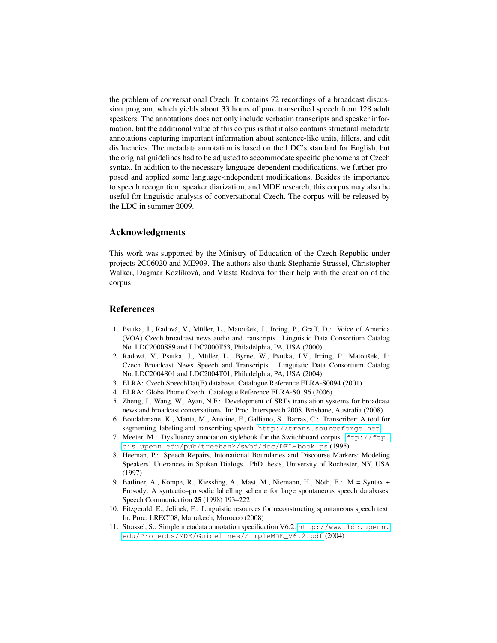the problem of conversational Czech. It contains 72 recordings of a broadcast discussion program, which yields about 33 hours of pure transcribed speech from 128 adult speakers. The annotations does not only include verbatim transcripts and speaker information, but the additional value of this corpus is that it also contains structural metadata annotations capturing important information about sentence-like units, fillers, and edit disfluencies. The metadata annotation is based on the LDC's standard for English, but the original guidelines had to be adjusted to accommodate specific phenomena of Czech syntax. In addition to the necessary language-dependent modifications, we further proposed and applied some language-independent modifications. Besides its importance to speech recognition, speaker diarization, and MDE research, this corpus may also be useful for linguistic analysis of conversational Czech. The corpus will be released by the LDC in summer 2009.

# Acknowledgments

This work was supported by the Ministry of Education of the Czech Republic under projects 2C06020 and ME909. The authors also thank Stephanie Strassel, Christopher Walker, Dagmar Kozlíková, and Vlasta Radová for their help with the creation of the corpus.

### References

- <span id="page-7-0"></span>1. Psutka, J., Radová, V., Müller, L., Matoušek, J., Ircing, P., Graff, D.: Voice of America (VOA) Czech broadcast news audio and transcripts. Linguistic Data Consortium Catalog No. LDC2000S89 and LDC2000T53, Philadelphia, PA, USA (2000)
- <span id="page-7-1"></span>2. Radová, V., Psutka, J., Müller, L., Byrne, W., Psutka, J.V., Ircing, P., Matoušek, J.: Czech Broadcast News Speech and Transcripts. Linguistic Data Consortium Catalog No. LDC2004S01 and LDC2004T01, Philadelphia, PA, USA (2004)
- <span id="page-7-2"></span>3. ELRA: Czech SpeechDat(E) database. Catalogue Reference ELRA-S0094 (2001)
- <span id="page-7-3"></span>4. ELRA: GlobalPhone Czech. Catalogue Reference ELRA-S0196 (2006)
- <span id="page-7-4"></span>5. Zheng, J., Wang, W., Ayan, N.F.: Development of SRI's translation systems for broadcast news and broadcast conversations. In: Proc. Interspeech 2008, Brisbane, Australia (2008)
- <span id="page-7-5"></span>6. Boudahmane, K., Manta, M., Antoine, F., Galliano, S., Barras, C.: Transcriber: A tool for segmenting, labeling and transcribing speech. <http://trans.sourceforge.net>
- <span id="page-7-6"></span>7. Meeter, M.: Dysfluency annotation stylebook for the Switchboard corpus. [ftp://ftp.](ftp://ftp.cis.upenn.edu/pub/treebank/swbd/doc/DFL-book.ps) [cis.upenn.edu/pub/treebank/swbd/doc/DFL-book.ps](ftp://ftp.cis.upenn.edu/pub/treebank/swbd/doc/DFL-book.ps) (1995)
- <span id="page-7-7"></span>8. Heeman, P.: Speech Repairs, Intonational Boundaries and Discourse Markers: Modeling Speakers' Utterances in Spoken Dialogs. PhD thesis, University of Rochester, NY, USA (1997)
- <span id="page-7-8"></span>9. Batliner, A., Kompe, R., Kiessling, A., Mast, M., Niemann, H., Nöth, E.:  $M = \text{Syntax} + \text{O}(1)$ Prosody: A syntactic–prosodic labelling scheme for large spontaneous speech databases. Speech Communication 25 (1998) 193–222
- <span id="page-7-9"></span>10. Fitzgerald, E., Jelinek, F.: Linguistic resources for reconstructing spontaneous speech text. In: Proc. LREC'08, Marrakech, Morocco (2008)
- <span id="page-7-10"></span>11. Strassel, S.: Simple metadata annotation specification V6.2. [http://www.ldc.upenn.](http://www.ldc.upenn.edu/Projects/MDE/Guidelines/SimpleMDE_V6.2.pdf) [edu/Projects/MDE/Guidelines/SimpleMDE\\_V6.2.pdf](http://www.ldc.upenn.edu/Projects/MDE/Guidelines/SimpleMDE_V6.2.pdf) (2004)